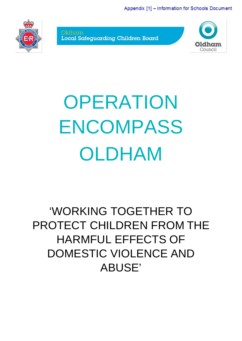Appendix [1] - Information for Schools Document



Oldham Local Safeguarding Children Board



# **OPERATION** ENCOMPASS OLDHAM

# 'WORKING TOGETHER TO PROTECT CHILDREN FROM THE HARMFUL EFFECTS OF DOMESTIC VIOLENCE AND ABUSE'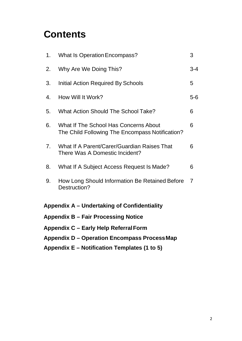# **Contents**

| <b>Appendix D – Operation Encompass Process Map</b> |                                                                                          |                |  |  |
|-----------------------------------------------------|------------------------------------------------------------------------------------------|----------------|--|--|
| Appendix C – Early Help Referral Form               |                                                                                          |                |  |  |
| <b>Appendix B - Fair Processing Notice</b>          |                                                                                          |                |  |  |
| Appendix A - Undertaking of Confidentiality         |                                                                                          |                |  |  |
| 9.                                                  | How Long Should Information Be Retained Before<br>Destruction?                           | $\overline{7}$ |  |  |
| 8.                                                  | What If A Subject Access Request Is Made?                                                | 6              |  |  |
| 7 <sub>1</sub>                                      | What If A Parent/Carer/Guardian Raises That<br>There Was A Domestic Incident?            | 6              |  |  |
| 6.                                                  | What If The School Has Concerns About<br>The Child Following The Encompass Notification? | 6              |  |  |
| 5.                                                  | <b>What Action Should The School Take?</b>                                               | 6              |  |  |
| 4.                                                  | How Will It Work?                                                                        | $5-6$          |  |  |
| 3.                                                  | Initial Action Required By Schools                                                       | 5              |  |  |
| 2.                                                  | Why Are We Doing This?                                                                   | $3 - 4$        |  |  |
| 1.                                                  | <b>What Is Operation Encompass?</b>                                                      | 3              |  |  |

**Appendix E – Notification Templates (1 to 5)**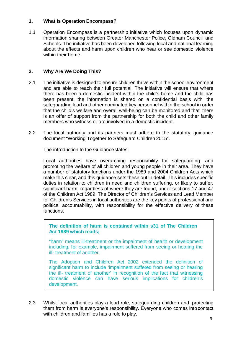#### **1. What Is Operation Encompass?**

1.1 Operation Encompass is a partnership initiative which focuses upon dynamic information sharing between Greater Manchester Police, Oldham Council and Schools. The initiative has been developed following local and national learning about the effects and harm upon children who hear or see domestic violence within their home.

#### **2. Why Are We Doing This?**

- 2.1 The initiative is designed to ensure children thrive within the school environment and are able to reach their full potential. The initiative will ensure that where there has been a domestic incident within the child's home and the child has been present, the information is shared on a confidential basis with the safeguarding lead and other nominated key personnel within the school in order that the child's welfare and overall well-being can be monitored and that there is an offer of support from the partnership for both the child and other family members who witness or are involved in a domestic incident.
- 2.2 The local authority and its partners must adhere to the statutory guidance document "Working Together to Safeguard Children 2015".

The introduction to the Guidance states;

Local authorities have overarching responsibility for safeguarding and promoting the welfare of all children and young people in their area. They have a number of statutory functions under the 1989 and 2004 Children Acts which make this clear, and this guidance sets these out in detail. This includes specific duties in relation to children in need and children suffering, or likely to suffer, significant harm, regardless of where they are found, under sections 17 and 47 of the Children Act 1989. The Director of Children's Services and Lead Member for Children's Services in local authorities are the key points of professional and political accountability, with responsibility for the effective delivery of these functions.

**The definition of harm is contained within s31 of The Children Act 1989 which reads;**

"harm" means ill-treatment or the impairment of health or development including, for example, impairment suffered from seeing or hearing the ill- treatment of another.

The Adoption and Children Act 2002 extended the definition of significant harm to include 'impairment suffered from seeing or hearing the ill- treatment of another' in recognition of the fact that witnessing domestic violence can have serious implications for children's development.

2.3 Whilst local authorities play a lead role, safeguarding children and protecting them from harm is everyone's responsibility. Everyone who comes into contact with children and families has a role to play.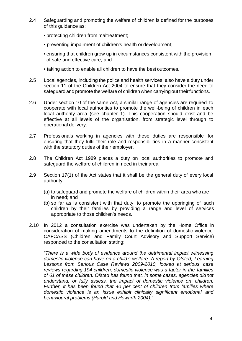- 2.4 Safeguarding and promoting the welfare of children is defined for the purposes of this guidance as:
	- protecting children from maltreatment;
	- preventing impairment of children's health or development;
	- ensuring that children grow up in circumstances consistent with the provision of safe and effective care; and
	- taking action to enable all children to have the best outcomes.
- 2.5 Local agencies, including the police and health services, also have a duty under section 11 of the Children Act 2004 to ensure that they consider the need to safeguard and promote the welfare of children when carrying out theirfunctions.
- 2.6 Under section 10 of the same Act, a similar range of agencies are required to cooperate with local authorities to promote the well-being of children in each local authority area (see chapter 1). This cooperation should exist and be effective at all levels of the organisation, from strategic level through to operational delivery.
- 2.7 Professionals working in agencies with these duties are responsible for ensuring that they fulfil their role and responsibilities in a manner consistent with the statutory duties of their employer.
- 2.8 The Children Act 1989 places a duty on local authorities to promote and safeguard the welfare of children in need in their area.
- 2.9 Section 17(1) of the Act states that it shall be the general duty of every local authority:
	- (a) to safeguard and promote the welfare of children within their area who are in need; and
	- (b) so far as is consistent with that duty, to promote the upbringing of such children by their families by providing a range and level of services appropriate to those children's needs.
- 2.10 In 2012 a consultation exercise was undertaken by the Home Office in consideration of making amendments to the definition of domestic violence. CAFCASS (Children and Family Court Advisory and Support Service) responded to the consultation stating;

*"There is a wide body of evidence around the detrimental impact witnessing domestic violence can have on a child's welfare. A report by Ofsted, Learning Lessons from Serious Case Reviews 2009-2010, looked at serious case reviews regarding 194 children; domestic violence was a factor in the families of 61 of these children. Ofsted has found that, in some cases, agencies didnot understand, or fully assess, the impact of domestic violence on children. Further, it has been found that 40 per cent of children from families where domestic violence is an issue exhibit clinically significant emotional and behavioural problems (Harold and Howarth,2004)."*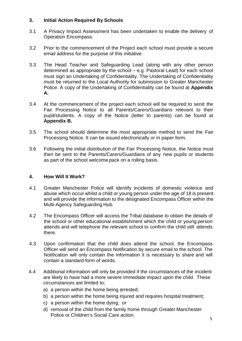#### **3. Initial Action Required By Schools**

- 3.1 A Privacy Impact Assessment has been undertaken to enable the delivery of Operation Encompass.
- 3.2 Prior to the commencement of the Project each school must provide a secure email address for the purpose of this initiative.
- 3.3 The Head Teacher and Safeguarding Lead (along with any other person determined as appropriate by the school – e.g. Pastoral Lead) for each school must sign an Undertaking of Confidentiality. The Undertaking of Confidentiality must be returned to the Local Authority for submission to Greater Manchester Police. A copy of the Undertaking of Confidentiality can be found at **Appendix A.**
- 3.4 At the commencement of the project each school will be required to send the Fair Processing Notice to all Parents/Carers/Guardians relevant to their pupil/students. A copy of the Notice (letter to parents) can be found at **Appendix B.**
- 3.5 The school should determine the most appropriate method to send the Fair Processing Notice. It can be issued electronically or in paper form.
- 3.6 Following the initial distribution of the Fair Processing Notice, the Notice must then be sent to the Parents/Carers/Guardians of any new pupils or students as part of the school welcome pack on a rolling basis.

#### **4. How Will It Work?**

- 4.1 Greater Manchester Police will identify incidents of domestic violence and abuse which occur whilst a child or young person under the age of 18 is present and will provide the information to the designated Encompass Officer within the Multi-Agency Safeguarding Hub.
- 4.2 The Encompass Officer will access the Tribal database to obtain the details of the school or other educational establishment which the child or young person attends and will telephone the relevant school to confirm the child still attends there.
- 4.3 Upon confirmation that the child does attend the school, the Encompass Officer will send an Encompass Notification by secure email to the school. The Notification will only contain the information it is necessary to share and will contain a standard form of words.
- 4.4 Additional information will only be provided if the circumstances of the incident are likely to have had a more severe immediate impact upon the child. These circumstances are limited to;
	- a) a person within the home being arrested;
	- b) a person within the home being injured and requires hospital treatment;
	- c) a person within the home dying; or
	- d) removal of the child from the family home through Greater Manchester Police or Children's Social Care action.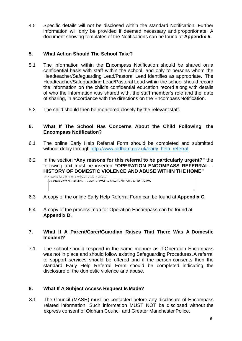4.5 Specific details will not be disclosed within the standard Notification. Further information will only be provided if deemed necessary and proportionate. A document showing templates of the Notifications can be found at **Appendix 5.**

#### **5. What Action Should The School Take?**

- 5.1 The information within the Encompass Notification should be shared on a confidential basis with staff within the school, and only to persons whom the Headteacher/Safeguarding Lead/Pastoral Lead identifies as appropriate. The Headteacher/Safeguarding Lead/Pastoral Lead within the school should record the information on the child's confidential education record along with details of who the information was shared with, the staff member's role and the date of sharing, in accordance with the directions on the Encompass Notification.
- 5.2 The child should then be monitored closely by the relevant staff.

#### **6. What If The School Has Concerns About the Child Following the Encompass Notification?**

- 6.1 The online Early Help Referral Form should be completed and submitted without delay through [http://www.oldham.gov.uk/early\\_help\\_referral](http://www.oldham.gov.uk/early_help_referral)
- 6.2 In the section **"Any reasons for this referral to be particularly urgent?"** the following text must be inserted **"OPERATION ENCOMPASS REFERRAL - HISTORY OF DOMESTIC VIOLENCE AND ABUSE WITHIN THE HOME"**



- 6.3 A copy of the online Early Help Referral Form can be found at **Appendix C**.
- 6.4 A copy of the process map for Operation Encompass can be found at **Appendix D.**

#### **7. What If A Parent/Carer/Guardian Raises That There Was A Domestic Incident?**

7.1 The school should respond in the same manner as if Operation Encompass was not in place and should follow existing Safeguarding Procedures.A referral to support services should be offered and if the person consents then the standard Early Help Referral Form should be completed indicating the disclosure of the domestic violence and abuse.

#### **8. What If A Subject Access Request Is Made?**

8.1 The Council (MASH) must be contacted before any disclosure of Encompass related information. Such information MUST NOT be disclosed without the express consent of Oldham Council and Greater Manchester Police.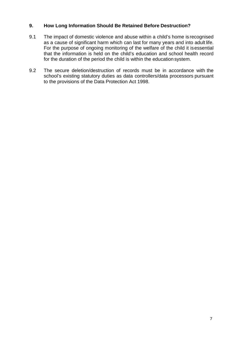#### **9. How Long Information Should Be Retained Before Destruction?**

- 9.1 The impact of domestic violence and abuse within a child's home is recognised as a cause of significant harm which can last for many years and into adult life. For the purpose of ongoing monitoring of the welfare of the child it isessential that the information is held on the child's education and school health record for the duration of the period the child is within the education system.
- 9.2 The secure deletion/destruction of records must be in accordance with the school's existing statutory duties as data controllers/data processors pursuant to the provisions of the Data Protection Act 1998.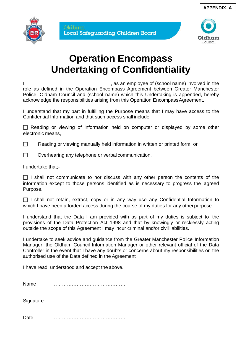



# **Operation Encompass Undertaking of Confidentiality**

I, as an employee of (school name) involved in the role as defined in the Operation Encompass Agreement between Greater Manchester Police, Oldham Council and (school name) which this Undertaking is appended, hereby acknowledge the responsibilities arising from this Operation EncompassAgreement.

I understand that my part in fulfilling the Purpose means that I may have access to the Confidential Information and that such access shall include:

 $\Box$  Reading or viewing of information held on computer or displayed by some other electronic means,

 $\Box$  Reading or viewing manually held information in written or printed form, or

 $\Box$  Overhearing any telephone or verbal communication.

I undertake that;-

 $\Box$  I shall not communicate to nor discuss with any other person the contents of the information except to those persons identified as is necessary to progress the agreed Purpose.

 $\Box$  I shall not retain, extract, copy or in any way use any Confidential Information to which I have been afforded access during the course of my duties for any other purpose.

I understand that the Data I am provided with as part of my duties is subject to the provisions of the Data Protection Act 1998 and that by knowingly or recklessly acting outside the scope of this Agreement I may incur criminal and/or civil liabilities.

I undertake to seek advice and guidance from the Greater Manchester Police Information Manager, the Oldham Council Information Manager or other relevant official of the Data Controller in the event that I have any doubts or concerns about my responsibilities or the authorised use of the Data defined in the Agreement

I have read, understood and accept the above.

Name ……………………………………… Signature ………………………………………

Date ………………………………………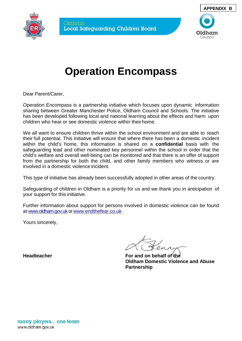



# **Operation Encompass**

Dear Parent/Carer,

Operation Encompass is a partnership initiative which focuses upon dynamic information sharing between Greater Manchester Police, Oldham Council and Schools. The initiative has been developed following local and national learning about the effects and harm upon children who hear or see domestic violence within their home.

We all want to ensure children thrive within the school environment and are able to reach their full potential. This initiative will ensure that where there has been a domestic incident within the child's home, this information is shared on a **confidential** basis with the safeguarding lead and other nominated key personnel within the school in order that the child's welfare and overall well-being can be monitored and that there is an offer of support from the partnership for both the child, and other family members who witness or are involved in a domestic violence incident.

This type of initiative has already been successfully adopted in other areas of the country.

Safeguarding of children in Oldham is a priority for us and we thank you in anticipation of your support for this initiative.

Further information about support for persons involved in domestic violence can be found at [www.oldham.gov.uk](http://www.oldham.gov.uk/) o[r www.endthefear.co.uk](http://www.endthefear.co.uk/)

Yours sincerely,

**Headteacher For and on behalf of the Oldham Domestic Violence and Abuse Partnership**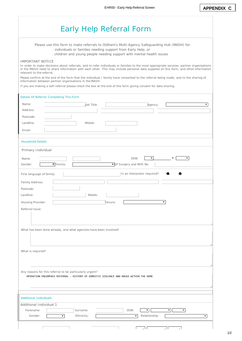|                                                          | . individuals or families needing support from Early Help, or     | Please use this form to make referrals to Oldham's Multi-Agency Safeguarding Hub (MASH) for:                                                                                                                                                                                                                                                                                                                          |    |
|----------------------------------------------------------|-------------------------------------------------------------------|-----------------------------------------------------------------------------------------------------------------------------------------------------------------------------------------------------------------------------------------------------------------------------------------------------------------------------------------------------------------------------------------------------------------------|----|
|                                                          |                                                                   | . children and young people needing support with mental health issues                                                                                                                                                                                                                                                                                                                                                 |    |
| <b>IMPORTANT NOTICE</b><br>relevant to the referral.     |                                                                   | In order to make decisions about referrals, and to refer individuals or families to the most appropriate services, partner organisations<br>in the MASH need to share information with each other. This may include personal data supplied on this form, and other information<br>Please confirm at the end of the form that the individual / family have consented to the referral being made, and to the sharing of |    |
|                                                          | information between partner organisations in the MASH.            | If you are making a self-referral please check the box at the end of this form giving consent for data sharing.                                                                                                                                                                                                                                                                                                       |    |
| Details Of Referrer Completing This Form                 |                                                                   |                                                                                                                                                                                                                                                                                                                                                                                                                       |    |
| Name:                                                    | Job Title:                                                        |                                                                                                                                                                                                                                                                                                                                                                                                                       | ۷. |
| Address:                                                 |                                                                   | Agency:                                                                                                                                                                                                                                                                                                                                                                                                               |    |
| Postcode:                                                |                                                                   |                                                                                                                                                                                                                                                                                                                                                                                                                       |    |
| Landline:                                                | Mobile:                                                           |                                                                                                                                                                                                                                                                                                                                                                                                                       |    |
| Email:                                                   |                                                                   |                                                                                                                                                                                                                                                                                                                                                                                                                       |    |
|                                                          |                                                                   |                                                                                                                                                                                                                                                                                                                                                                                                                       |    |
| <b>Household Details</b>                                 |                                                                   |                                                                                                                                                                                                                                                                                                                                                                                                                       |    |
| Primary Individual                                       |                                                                   |                                                                                                                                                                                                                                                                                                                                                                                                                       |    |
|                                                          |                                                                   | $\pmb{\mathrm{v}}$                                                                                                                                                                                                                                                                                                                                                                                                    | ۷. |
| Name:                                                    |                                                                   | DOB:                                                                                                                                                                                                                                                                                                                                                                                                                  |    |
| Gender:                                                  | Ethnicity:                                                        | ▼ GP Surgery and NHS No                                                                                                                                                                                                                                                                                                                                                                                               |    |
| First language of family:                                |                                                                   | Is an interpreter required?                                                                                                                                                                                                                                                                                                                                                                                           | œ  |
| Family Address:                                          |                                                                   |                                                                                                                                                                                                                                                                                                                                                                                                                       |    |
| Postcode:                                                |                                                                   |                                                                                                                                                                                                                                                                                                                                                                                                                       |    |
| Landline:                                                | Mobile:                                                           |                                                                                                                                                                                                                                                                                                                                                                                                                       |    |
|                                                          |                                                                   |                                                                                                                                                                                                                                                                                                                                                                                                                       |    |
| Housing Provider:                                        |                                                                   | Tenure:                                                                                                                                                                                                                                                                                                                                                                                                               | ▼. |
| Referral Issue:                                          |                                                                   |                                                                                                                                                                                                                                                                                                                                                                                                                       |    |
|                                                          |                                                                   |                                                                                                                                                                                                                                                                                                                                                                                                                       |    |
|                                                          |                                                                   |                                                                                                                                                                                                                                                                                                                                                                                                                       |    |
|                                                          | What has been done already, and what agencies have been involved? |                                                                                                                                                                                                                                                                                                                                                                                                                       |    |
|                                                          |                                                                   |                                                                                                                                                                                                                                                                                                                                                                                                                       |    |
|                                                          |                                                                   |                                                                                                                                                                                                                                                                                                                                                                                                                       |    |
| What is required?                                        |                                                                   |                                                                                                                                                                                                                                                                                                                                                                                                                       |    |
|                                                          |                                                                   |                                                                                                                                                                                                                                                                                                                                                                                                                       |    |
|                                                          |                                                                   |                                                                                                                                                                                                                                                                                                                                                                                                                       |    |
|                                                          |                                                                   |                                                                                                                                                                                                                                                                                                                                                                                                                       |    |
|                                                          | Any reasons for this referral to be particularly urgent?          | OPERATION ENCOMPASS REFERRAL - HISTORY OF DOMESTIC VIOLENCE AND ABUSE WITHIN THE HOME                                                                                                                                                                                                                                                                                                                                 |    |
|                                                          |                                                                   |                                                                                                                                                                                                                                                                                                                                                                                                                       |    |
|                                                          |                                                                   |                                                                                                                                                                                                                                                                                                                                                                                                                       |    |
|                                                          |                                                                   |                                                                                                                                                                                                                                                                                                                                                                                                                       |    |
|                                                          |                                                                   |                                                                                                                                                                                                                                                                                                                                                                                                                       |    |
|                                                          |                                                                   |                                                                                                                                                                                                                                                                                                                                                                                                                       |    |
| <b>Additional Individuals</b><br>Additional Individual 1 |                                                                   |                                                                                                                                                                                                                                                                                                                                                                                                                       |    |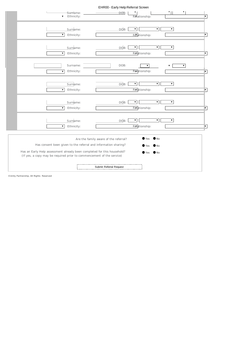| EHR00 - Early Help Referral Screen                                                                                                                                                                                                                                                                                                                        |                          |
|-----------------------------------------------------------------------------------------------------------------------------------------------------------------------------------------------------------------------------------------------------------------------------------------------------------------------------------------------------------|--------------------------|
| ▼.<br>DOB:<br>Surname:<br>$\bullet$ Ethnicity:<br>Relationship:                                                                                                                                                                                                                                                                                           | ⊺⊽                       |
| $\blacktriangledown$<br>Surname:<br>DOB:<br>$\pmb{\mathrm{v}}$<br>▼.<br>Relationship:<br>$\pmb{\nabla}$<br>Ethnicity:                                                                                                                                                                                                                                     | $\overline{\mathbf{v}}$  |
| $\blacktriangledown$<br>$\pmb{\nabla}$<br>$\blacktriangledown$<br>Surname:<br>DOB:<br>Relationship:<br>Ethnicity:<br>$\blacktriangledown$                                                                                                                                                                                                                 | $\overline{\phantom{a}}$ |
| DOB:<br>Surname:<br>$\pmb{\mathrm{v}}$<br>$\pmb{\nabla}$<br>Relationship:<br>Ethnicity:<br>$\blacktriangledown$                                                                                                                                                                                                                                           | $\sqrt{ }$               |
| $\pmb{\nabla}$<br>$\pmb{\nabla}$<br>Surname:<br>DOB:<br>▼<br>Relationship:<br>$\pmb{\nabla}$<br>Ethnicity:                                                                                                                                                                                                                                                | $\sqrt{ }$               |
| $\overline{\mathbf{v}}$<br>$\pmb{\mathrm{v}}$<br>Surname:<br>DOB:<br>Relationship:<br>$\pmb{\mathrm{v}}$<br>Ethnicity:                                                                                                                                                                                                                                    | $\sqrt{ }$               |
| $\pmb{\mathrm{v}}$<br>$\pmb{\nabla}$<br>Surname:<br>DOB:<br>▼.<br>Relationship:<br>$\pmb{\mathrm{v}}$<br>Ethnicity:                                                                                                                                                                                                                                       | $\sqrt{ }$               |
| $\mathsf{N}\circ$<br>Yes<br>Are the family aware of the referral?<br>Has consent been given to the referral and information sharing?<br>N <sub>O</sub><br><b>Yes</b><br>Has an Early Help assessment already been completed for this household?<br>$\bullet$ No<br>$\bullet$ Yes<br>(If yes, a copy may be required prior to commencement of the service) |                          |
| Submit Referral Request                                                                                                                                                                                                                                                                                                                                   |                          |

©Unity Partnership, All Rights Reserved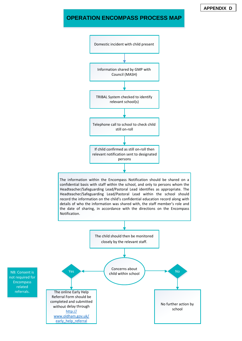#### **OPERATION ENCOMPASS PROCESS MAP**

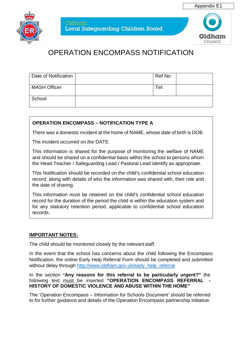



Oldham Local Safequarding Children Board



### OPERATION ENCOMPASS NOTIFICATION

| Date of Notification | Ref No: |  |
|----------------------|---------|--|
| <b>MASH Officer</b>  | Tel:    |  |
| School               |         |  |

#### **OPERATION ENCOMPASS – NOTIFICATION TYPE A**

There was a domestic incident at the home of NAME, whose date of birth is DOB.

The incident occurred on the DATE.

This information is shared for the purpose of monitoring the welfare of NAME and should be shared on a confidential basis within the school to persons whom the Head Teacher / Safeguarding Lead / Pastoral Lead identify as appropriate.

This Notification should be recorded on the child's confidential school education record, along with details of who the information was shared with, their role and the date of sharing.

This information must be retained on the child's confidential school education record for the duration of the period the child is within the education system and for any statutory retention period, applicable to confidential school education records.

#### **IMPORTANT NOTES:**

The child should be monitored closely by the relevant staff.

In the event that the school has concerns about the child following the Encompass Notification, the online Early Help Referral Form should be completed and submitted without delay through [http://www.oldham.gov.uk/early\\_help\\_referral](http://www.oldham.gov.uk/early_help_referral)

In the section **"Any reasons for this referral to be particularly urgent?"** the following text must be inserted "OPERATION ENCOMPASS REFERRAL **HISTORY OF DOMESTIC VIOLENCE AND ABUSE WITHIN THE HOME"**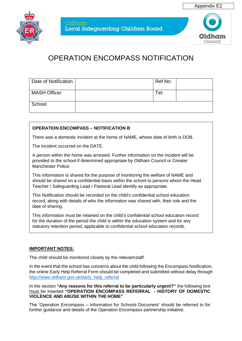



| Date of Notification | Ref No: |  |
|----------------------|---------|--|
| <b>MASH Officer</b>  | Tel:    |  |
| School               |         |  |

#### **OPERATION ENCOMPASS – NOTIFICATION B**

There was a domestic incident at the home of NAME, whose date of birth is DOB.

The incident occurred on the DATE.

A person within the home was arrested. Further information on the incident will be provided to the school if determined appropriate by Oldham Council or Greater Manchester Police.

This information is shared for the purpose of monitoring the welfare of NAME and should be shared on a confidential basis within the school to persons whom the Head Teacher / Safeguarding Lead / Pastoral Lead identify as appropriate.

This Notification should be recorded on the child's confidential school education record, along with details of who the information was shared with, their role and the date of sharing.

This information must be retained on the child's confidential school education record for the duration of the period the child is within the education system and for any statutory retention period, applicable to confidential school education records.

#### **IMPORTANT NOTES:**

The child should be monitored closely by the relevant staff.

In the event that the school has concerns about the child following the Encompass Notification, the online Early Help Referral Form should be completed and submitted without delay through [http://www.oldham.gov.uk/early\\_help\\_referral](http://www.oldham.gov.uk/early_help_referral)

In the section **"Any reasons for this referral to be particularly urgent?"** the following text must be inserted **"OPERATION ENCOMPASS REFERRAL - HISTORY OF DOMESTIC VIOLENCE AND ABUSE WITHIN THE HOME"**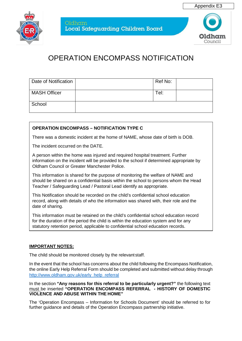



| Date of Notification | Ref No: |  |
|----------------------|---------|--|
| <b>MASH Officer</b>  | Tel:    |  |
| School               |         |  |

#### **OPERATION ENCOMPASS – NOTIFICATION TYPE C**

There was a domestic incident at the home of NAME, whose date of birth is DOB.

The incident occurred on the DATE.

A person within the home was injured and required hospital treatment. Further information on the incident will be provided to the school if determined appropriate by Oldham Council or Greater Manchester Police.

This information is shared for the purpose of monitoring the welfare of NAME and should be shared on a confidential basis within the school to persons whom the Head Teacher / Safeguarding Lead / Pastoral Lead identify as appropriate.

This Notification should be recorded on the child's confidential school education record, along with details of who the information was shared with, their role and the date of sharing.

This information must be retained on the child's confidential school education record for the duration of the period the child is within the education system and for any statutory retention period, applicable to confidential school education records.

#### **IMPORTANT NOTES:**

The child should be monitored closely by the relevant staff.

In the event that the school has concerns about the child following the Encompass Notification, the online Early Help Referral Form should be completed and submitted without delay through [http://www.oldham.gov.uk/early\\_help\\_referral](http://www.oldham.gov.uk/early_help_referral)

In the section **"Any reasons for this referral to be particularly urgent?"** the following text must be inserted **"OPERATION ENCOMPASS REFERRAL - HISTORY OF DOMESTIC VIOLENCE AND ABUSE WITHIN THE HOME"**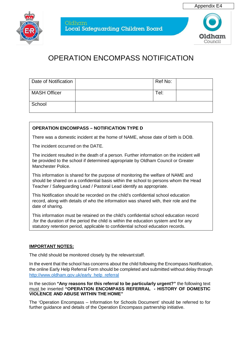



| Date of Notification | Ref No: |  |
|----------------------|---------|--|
| <b>MASH Officer</b>  | Tel:    |  |
| School               |         |  |

#### **OPERATION ENCOMPASS – NOTIFICATION TYPE D**

There was a domestic incident at the home of NAME, whose date of birth is DOB.

The incident occurred on the DATE.

The incident resulted in the death of a person. Further information on the incident will be provided to the school if determined appropriate by Oldham Council or Greater Manchester Police.

This information is shared for the purpose of monitoring the welfare of NAME and should be shared on a confidential basis within the school to persons whom the Head Teacher / Safeguarding Lead / Pastoral Lead identify as appropriate.

This Notification should be recorded on the child's confidential school education record, along with details of who the information was shared with, their role and the date of sharing.

This information must be retained on the child's confidential school education record .for the duration of the period the child is within the education system and for any statutory retention period, applicable to confidential school education records.

#### **IMPORTANT NOTES:**

The child should be monitored closely by the relevant staff.

In the event that the school has concerns about the child following the Encompass Notification, the online Early Help Referral Form should be completed and submitted without delay through [http://www.oldham.gov.uk/early\\_help\\_referral](http://www.oldham.gov.uk/early_help_referral)

In the section **"Any reasons for this referral to be particularly urgent?"** the following text must be inserted **"OPERATION ENCOMPASS REFERRAL - HISTORY OF DOMESTIC VIOLENCE AND ABUSE WITHIN THE HOME"**